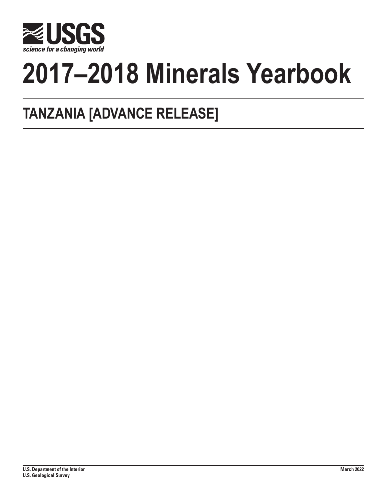

# **2017–2018 Minerals Yearbook**

## **TANZANIA [ADVANCE RELEASE]**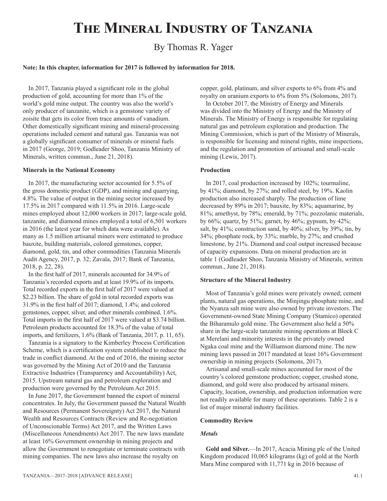## **The Mineral Industry of Tanzania**

### By Thomas R. Yager

#### **Note: In this chapter, information for 2017 is followed by information for 2018.**

In 2017, Tanzania played a significant role in the global production of gold, accounting for more than 1% of the world's gold mine output. The country was also the world's only producer of tanzanite, which is a gemstone variety of zoisite that gets its color from trace amounts of vanadium. Other domestically significant mining and mineral-processing operations included cement and natural gas. Tanzania was not a globally significant consumer of minerals or mineral fuels in 2017 (George, 2019; Godleader Shoo, Tanzania Ministry of Minerals, written commun., June 21, 2018).

#### **Minerals in the National Economy**

In 2017, the manufacturing sector accounted for 5.5% of the gross domestic product (GDP), and mining and quarrying, 4.8%. The value of output in the mining sector increased by 17.5% in 2017 compared with 11.5% in 2016. Large-scale mines employed about 12,000 workers in 2017; large-scale gold, tanzanite, and diamond mines employed a total of 6,501 workers in 2016 (the latest year for which data were available). As many as 1.5 million artisanal miners were estimated to produce bauxite, building materials, colored gemstones, copper, diamond, gold, tin, and other commodities (Tanzania Minerals Audit Agency, 2017, p. 32; Zavala, 2017; Bank of Tanzania, 2018, p. 22, 28).

In the first half of 2017, minerals accounted for 34.9% of Tanzania's recorded exports and at least 19.9% of its imports. Total recorded exports in the first half of 2017 were valued at \$2.23 billion. The share of gold in total recorded exports was 31.9% in the first half of 2017; diamond, 1.4%; and colored gemstones, copper, silver, and other minerals combined, 1.6%. Total imports in the first half of 2017 were valued at \$3.74 billion. Petroleum products accounted for 18.3% of the value of total imports, and fertilizers, 1.6% (Bank of Tanzania, 2017, p. 11, 65).

Tanzania is a signatory to the Kimberley Process Certification Scheme, which is a certification system established to reduce the trade in conflict diamond. At the end of 2016, the mining sector was governed by the Mining Act of 2010 and the Tanzania Extractive Industries (Transparency and Accountability) Act, 2015. Upstream natural gas and petroleum exploration and production were governed by the Petroleum Act 2015.

In June 2017, the Government banned the export of mineral concentrates. In July, the Government passed the Natural Wealth and Resources (Permanent Sovereignty) Act 2017, the Natural Wealth and Resources Contracts (Review and Re-negotiation of Unconscionable Terms) Act 2017, and the Written Laws (Miscellaneous Amendments) Act 2017. The new laws mandate at least 16% Government ownership in mining projects and allow the Government to renegotiate or terminate contracts with mining companies. The new laws also increase the royalty on

copper, gold, platinum, and silver exports to 6% from 4% and royalty on uranium exports to 6% from 5% (Solomons, 2017).

In October 2017, the Ministry of Energy and Minerals was divided into the Ministry of Energy and the Ministry of Minerals. The Ministry of Energy is responsible for regulating natural gas and petroleum exploration and production. The Mining Commission, which is part of the Ministry of Minerals, is responsible for licensing and mineral rights, mine inspections, and the regulation and promotion of artisanal and small-scale mining (Lewis, 2017).

#### **Production**

In 2017, coal production increased by 102%; tourmaline, by 41%; diamond, by 27%; and rolled steel, by 19%. Kaolin production also increased sharply. The production of lime decreased by 89% in 2017; bauxite, by 83%; aquamarine, by 81%; amethyst, by 78%; emerald, by 71%; pozzolanic materials, by 66%; quartz, by 51%; garnet, by 46%; gypsum, by 42%; salt, by 41%; construction sand, by 40%; silver, by 39%; tin, by 34%; phosphate rock, by 33%; marble, by 27%; and crushed limestone, by 21%. Diamond and coal output increased because of capacity expansions. Data on mineral production are in table 1 (Godleader Shoo, Tanzania Ministry of Minerals, written commun., June 21, 2018).

#### **Structure of the Mineral Industry**

Most of Tanzania's gold mines were privately owned; cement plants, natural gas operations, the Minjingu phosphate mine, and the Nyanza salt mine were also owned by private investors. The Government-owned State Mining Company (Stamico) operated the Biharamulo gold mine. The Government also held a 50% share in the large-scale tanzanite mining operations at Block C at Merelani and minority interests in the privately owned Ngaka coal mine and the Williamson diamond mine. The new mining laws passed in 2017 mandated at least 16% Government ownership in mining projects (Solomons, 2017).

Artisanal and small-scale mines accounted for most of the country's colored gemstone production; copper, crushed stone, diamond, and gold were also produced by artisanal miners. Capacity, location, ownership, and production information were not readily available for many of these operations. Table 2 is a list of major mineral industry facilities.

#### **Commodity Review**

#### *Metals*

**Gold and Silver.**—In 2017, Acacia Mining plc of the United Kingdom produced 10,065 kilograms (kg) of gold at the North Mara Mine compared with 11,771 kg in 2016 because of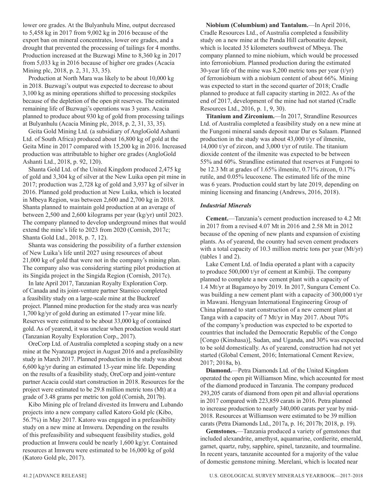lower ore grades. At the Bulyanhulu Mine, output decreased to 5,458 kg in 2017 from 9,002 kg in 2016 because of the export ban on mineral concentrates, lower ore grades, and a drought that prevented the processing of tailings for 4 months. Production increased at the Buzwagi Mine to 8,360 kg in 2017 from 5,033 kg in 2016 because of higher ore grades (Acacia Mining plc, 2018, p. 2, 31, 33, 35).

Production at North Mara was likely to be about 10,000 kg in 2018. Buzwagi's output was expected to decrease to about 3,100 kg as mining operations shifted to processing stockpiles because of the depletion of the open pit reserves. The estimated remaining life of Buzwagi's operations was 3 years. Acacia planned to produce about 930 kg of gold from processing tailings at Bulyanhulu (Acacia Mining plc, 2018, p. 2, 31, 33, 35).

Geita Gold Mining Ltd. (a subsidiary of AngloGold Ashanti Ltd. of South Africa) produced about 16,800 kg of gold at the Geita Mine in 2017 compared with 15,200 kg in 2016. Increased production was attributable to higher ore grades (AngloGold Ashanti Ltd., 2018, p. 92, 120).

Shanta Gold Ltd. of the United Kingdom produced 2,475 kg of gold and 3,304 kg of silver at the New Luika open pit mine in 2017; production was 2,728 kg of gold and 3,937 kg of silver in 2016. Planned gold production at New Luika, which is located in Mbeya Region, was between 2,600 and 2,700 kg in 2018. Shanta planned to maintain gold production at an average of between 2,500 and 2,600 kilograms per year (kg/yr) until 2023. The company planned to develop underground mines that would extend the mine's life to 2023 from 2020 (Cornish, 2017c; Shanta Gold Ltd., 2018, p. 7, 12).

Shanta was considering the possibility of a further extension of New Luika's life until 2027 using resources of about 21,000 kg of gold that were not in the company's mining plan. The company also was considering starting pilot production at its Singida project in the Singida Region (Cornish, 2017c).

In late April 2017, Tanzanian Royalty Exploration Corp. of Canada and its joint-venture partner Stamico completed a feasibility study on a large-scale mine at the Buckreef project. Planned mine production for the study area was nearly 1,700 kg/yr of gold during an estimated 17-year mine life. Reserves were estimated to be about 33,000 kg of contained gold. As of yearend, it was unclear when production would start (Tanzanian Royalty Exploration Corp., 2017).

OreCorp Ltd. of Australia completed a scoping study on a new mine at the Nyanzaga project in August 2016 and a prefeasibility study in March 2017. Planned production in the study was about 6,600 kg/yr during an estimated 13-year mine life. Depending on the results of a feasibility study, OreCorp and joint-venture partner Acacia could start construction in 2018. Resources for the project were estimated to be 29.8 million metric tons (Mt) at a grade of 3.48 grams per metric ton gold (Cornish, 2017b).

Kibo Mining plc of Ireland divested its Imweru and Lubando projects into a new company called Katoro Gold plc (Kibo, 56.7%) in May 2017. Katoro was engaged in a prefeasibility study on a new mine at Imweru. Depending on the results of this prefeasibility and subsequent feasibility studies, gold production at Imweru could be nearly 1,600 kg/yr. Contained resources at Imweru were estimated to be 16,000 kg of gold (Katoro Gold plc, 2017).

**Niobium (Columbium) and Tantalum.**—In April 2016, Cradle Resources Ltd., of Australia completed a feasibility study on a new mine at the Panda Hill carbonatite deposit, which is located 35 kilometers southwest of Mbeya. The company planned to mine niobium, which would be processed into ferroniobium. Planned production during the estimated 30-year life of the mine was 8,200 metric tons per year  $(t/yr)$ of ferroniobium with a niobium content of about 66%. Mining was expected to start in the second quarter of 2018; Cradle planned to produce at full capacity starting in 2022. As of the end of 2017, development of the mine had not started (Cradle Resources Ltd., 2016, p. 1, 9, 30).

**Titanium and Zirconium.**—In 2017, Strandline Resources Ltd. of Australia completed a feasibility study on a new mine at the Fungoni mineral sands deposit near Dar es Salaam. Planned production in the study was about 43,000 t/yr of ilmenite, 14,000 t/yr of zircon, and 3,000 t/yr of rutile. The titanium dioxide content of the ilmenite was expected to be between 55% and 60%. Strandline estimated that reserves at Fungoni to be 12.3 Mt at grades of 1.65% ilmenite, 0.71% zircon, 0.17% rutile, and 0.05% leucoxene. The estimated life of the mine was 6 years. Production could start by late 2019, depending on mining licensing and financing (Andrews, 2016, 2018).

#### *Industrial Minerals*

**Cement.**—Tanzania's cement production increased to 4.2 Mt in 2017 from a revised 4.07 Mt in 2016 and 2.58 Mt in 2012 because of the opening of new plants and expansion of existing plants. As of yearend, the country had seven cement producers with a total capacity of 10.3 million metric tons per year (Mt/yr) (tables 1 and 2).

Lake Cement Ltd. of India operated a plant with a capacity to produce 500,000 t/yr of cement at Kimbiji. The company planned to complete a new cement plant with a capacity of 1.4 Mt/yr at Bagamoyo by 2019. In 2017, Sungura Cement Co. was building a new cement plant with a capacity of 300,000 t/yr in Mawani. Hengyuan International Engineering Group of China planned to start construction of a new cement plant at Tanga with a capacity of 7 Mt/yr in May 2017. About 70% of the company's production was expected to be exported to countries that included the Democratic Republic of the Congo [Congo (Kinshasa)], Sudan, and Uganda, and 30% was expected to be sold domestically. As of yearend, construction had not yet started (Global Cement, 2016; International Cement Review, 2017; 2018a, b).

**Diamond.**—Petra Diamonds Ltd. of the United Kingdom operated the open pit Williamson Mine, which accounted for most of the diamond produced in Tanzania. The company produced 293,205 carats of diamond from open pit and alluvial operations in 2017 compared with 223,859 carats in 2016. Petra planned to increase production to nearly 340,000 carats per year by mid-2018. Resources at Williamson were estimated to be 39 million carats (Petra Diamonds Ltd., 2017a, p. 16; 2017b; 2018, p. 19).

**Gemstones.**—Tanzania produced a variety of gemstones that included alexandrite, amethyst, aquamarine, cordierite, emerald, garnet, quartz, ruby, sapphire, spinel, tanzanite, and tourmaline. In recent years, tanzanite accounted for a majority of the value of domestic gemstone mining. Merelani, which is located near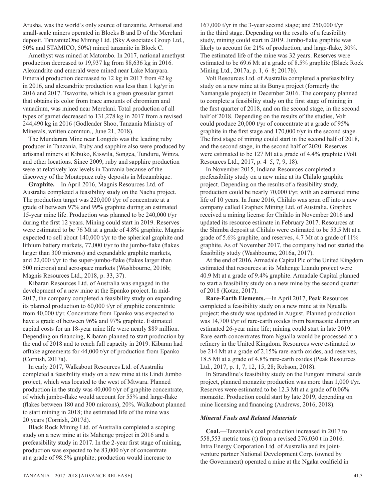Arusha, was the world's only source of tanzanite. Artisanal and small-scale miners operated in Blocks B and D of the Merelani deposit. TanzaniteOne Mining Ltd. (Sky Associates Group Ltd., 50% and STAMICO, 50%) mined tanzanite in Block C.

Amethyst was mined at Matombo. In 2017, national amethyst production decreased to 19,937 kg from 88,636 kg in 2016. Alexandrite and emerald were mined near Lake Manyara. Emerald production decreased to 12 kg in 2017 from 42 kg in 2016, and alexandrite production was less than 1 kg/yr in 2016 and 2017. Tsavorite, which is a green grossular garnet that obtains its color from trace amounts of chromium and vanadium, was mined near Merelani. Total production of all types of garnet decreased to 131,278 kg in 2017 from a revised 244,490 kg in 2016 (Godleader Shoo, Tanzania Ministry of Minerals, written commun., June 21, 2018).

The Mundarara Mine near Longido was the leading ruby producer in Tanzania. Ruby and sapphire also were produced by artisanal miners at Kibuko, Kiswila, Songea, Tunduru, Winza, and other locations. Since 2009, ruby and sapphire production were at relatively low levels in Tanzania because of the discovery of the Montepuez ruby deposits in Mozambique.

**Graphite.**—In April 2016, Magnis Resources Ltd. of Australia completed a feasibility study on the Nachu project. The production target was 220,000 t/yr of concentrate at a grade of between 97% and 99% graphite during an estimated 15-year mine life. Production was planned to be 240,000 t/yr during the first 12 years. Mining could start in 2019. Reserves were estimated to be 76 Mt at a grade of 4.8% graphite. Magnis expected to sell about 140,000 t/yr to the spherical graphite and lithium battery markets, 77,000 t/yr to the jumbo-flake (flakes larger than 300 microns) and expandable graphite markets, and 22,000 t/yr to the super-jumbo-flake (flakes larger than 500 microns) and aerospace markets (Washbourne, 2016b; Magnis Resources Ltd., 2018, p. 33, 37).

Kibaran Resources Ltd. of Australia was engaged in the development of a new mine at the Epanko project. In mid-2017, the company completed a feasibility study on expanding its planned production to 60,000 t/yr of graphite concentrate from 40,000 t/yr. Concentrate from Epanko was expected to have a grade of between 96% and 97% graphite. Estimated capital costs for an 18-year mine life were nearly \$89 million. Depending on financing, Kibaran planned to start production by the end of 2018 and to reach full capacity in 2019. Kibaran had offtake agreements for 44,000 t/yr of production from Epanko (Cornish, 2017a).

In early 2017, Walkabout Resources Ltd. of Australia completed a feasibility study on a new mine at its Lindi Jumbo project, which was located to the west of Mtwara. Planned production in the study was 40,000 t/yr of graphite concentrate, of which jumbo-flake would account for 55% and large-flake (flakes between 180 and 300 microns), 20%. Walkabout planned to start mining in 2018; the estimated life of the mine was 20 years (Cornish, 2017d).

Black Rock Mining Ltd. of Australia completed a scoping study on a new mine at its Mahenge project in 2016 and a prefeasibility study in 2017. In the 2-year first stage of mining, production was expected to be 83,000 t/yr of concentrate at a grade of 98.5% graphite; production would increase to

167,000 t/yr in the 3-year second stage; and 250,000 t/yr in the third stage. Depending on the results of a feasibility study, mining could start in 2019. Jumbo-flake graphite was likely to account for 21% of production, and large-flake, 30%. The estimated life of the mine was 32 years. Reserves were estimated to be 69.6 Mt at a grade of 8.5% graphite (Black Rock Mining Ltd., 2017a, p. 1, 6–8; 2017b).

Volt Resources Ltd. of Australia completed a prefeasibility study on a new mine at its Bunyu project (formerly the Namangale project) in December 2016. The company planned to complete a feasibility study on the first stage of mining in the first quarter of 2018, and on the second stage, in the second half of 2018. Depending on the results of the studies, Volt could produce 20,000 t/yr of concentrate at a grade of 95% graphite in the first stage and 170,000 t/yr in the second stage. The first stage of mining could start in the second half of 2018, and the second stage, in the second half of 2020. Reserves were estimated to be 127 Mt at a grade of 4.4% graphite (Volt Resources Ltd., 2017, p. 4–5, 7, 9, 18).

In November 2015, Indiana Resources completed a prefeasibility study on a new mine at its Chilalo graphite project. Depending on the results of a feasibility study, production could be nearly 70,000 t/yr, with an estimated mine life of 10 years. In June 2016, Chilalo was spun off into a new company called Graphex Mining Ltd. of Australia. Graphex received a mining license for Chilalo in November 2016 and updated its resource estimate in February 2017. Resources at the Shimba deposit at Chilalo were estimated to be 53.5 Mt at a grade of 5.6% graphite, and reserves, 4.7 Mt at a grade of 11% graphite. As of November 2017, the company had not started the feasibility study (Washbourne, 2016a, 2017).

At the end of 2016, Armadale Capital Plc of the United Kingdom estimated that resources at its Mahenge Liandu project were 40.9 Mt at a grade of 9.4% graphite. Armadale Capital planned to start a feasibility study on a new mine by the second quarter of 2018 (Kotze, 2017).

**Rare-Earth Elements.**—In April 2017, Peak Resources completed a feasibility study on a new mine at its Ngualla project; the study was updated in August. Planned production was 14,700 t/yr of rare-earth oxides from bastnaesite during an estimated 26-year mine life; mining could start in late 2019. Rare-earth concentrates from Ngualla would be processed at a refinery in the United Kingdom. Resources were estimated to be 214 Mt at a grade of 2.15% rare-earth oxides, and reserves, 18.5 Mt at a grade of 4.8% rare-earth oxides (Peak Resources Ltd., 2017, p. 1, 7, 12, 15, 28; Robson, 2018).

In Strandline's feasibility study on the Fungoni mineral sands project, planned monazite production was more than 1,000 t/yr. Reserves were estimated to be 12.3 Mt at a grade of 0.06% monazite. Production could start by late 2019, depending on mine licensing and financing (Andrews, 2016, 2018).

#### *Mineral Fuels and Related Materials*

**Coal.**—Tanzania's coal production increased in 2017 to 558,553 metric tons (t) from a revised 276,030 t in 2016. Intra Energy Corporation Ltd. of Australia and its jointventure partner National Development Corp. (owned by the Government) operated a mine at the Ngaka coalfield in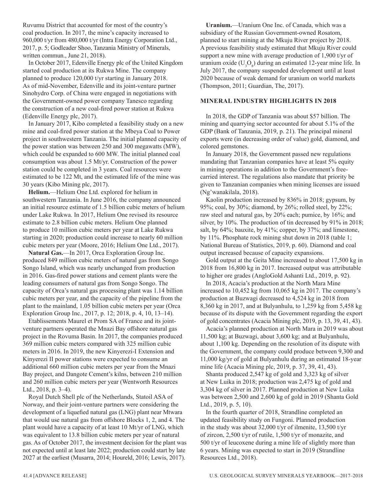Ruvumu District that accounted for most of the country's coal production. In 2017, the mine's capacity increased to 960,000 t/yr from 480,000 t/yr (Intra Energy Corporation Ltd., 2017, p. 5; Godleader Shoo, Tanzania Ministry of Minerals, written commun., June 21, 2018).

In October 2017, Edenville Energy plc of the United Kingdom started coal production at its Rukwa Mine. The company planned to produce 120,000 t/yr starting in January 2018. As of mid-November, Edenville and its joint-venture partner Sinohydro Corp. of China were engaged in negotiations with the Government-owned power company Tanesco regarding the construction of a new coal-fired power station at Rukwa (Edenville Energy plc, 2017).

In January 2017, Kibo completed a feasibility study on a new mine and coal-fired power station at the Mbeya Coal to Power project in southwestern Tanzania. The initial planned capacity of the power station was between 250 and 300 megawatts (MW), which could be expanded to 600 MW. The initial planned coal consumption was about 1.5 Mt/yr. Construction of the power station could be completed in 3 years. Coal resources were estimated to be 122 Mt, and the estimated life of the mine was 30 years (Kibo Mining plc, 2017).

**Helium.**—Helium One Ltd. explored for helium in southwestern Tanzania. In June 2016, the company announced an initial resource estimate of 1.5 billion cubic meters of helium under Lake Rukwa. In 2017, Helium One revised its resource estimate to 2.8 billion cubic meters. Helium One planned to produce 10 million cubic meters per year at Lake Rukwa starting in 2020; production could increase to nearly 60 million cubic meters per year (Moore, 2016; Helium One Ltd., 2017).

**Natural Gas.**—In 2017, Orca Exploration Group Inc. produced 849 million cubic meters of natural gas from Songo Songo Island, which was nearly unchanged from production in 2016. Gas-fired power stations and cement plants were the leading consumers of natural gas from Songo Songo. The capacity of Orca's natural gas processing plant was 1.14 billion cubic meters per year, and the capacity of the pipeline from the plant to the mainland, 1.05 billion cubic meters per year (Orca Exploration Group Inc., 2017, p. 12; 2018, p. 4, 10, 13–14).

Etablissements Maurel et Prom SA of France and its jointventure partners operated the Mnazi Bay offshore natural gas project in the Rovuma Basin. In 2017, the companies produced 369 million cubic meters compared with 325 million cubic meters in 2016. In 2019, the new Kinyerezi-I Extension and Kinyerezi II power stations were expected to consume an additional 660 million cubic meters per year from the Mnazi Bay project, and Dangote Cement's kilns, between 210 million and 260 million cubic meters per year (Wentworth Resources Ltd., 2018, p. 3–4).

Royal Dutch Shell plc of the Netherlands, Statoil ASA of Norway, and their joint-venture partners were considering the development of a liquefied natural gas (LNG) plant near Mtwara that would use natural gas from offshore Blocks 1, 2, and 4. The plant would have a capacity of at least 10 Mt/yr of LNG, which was equivalent to 13.8 billion cubic meters per year of natural gas. As of October 2017, the investment decision for the plant was not expected until at least late 2022; production could start by late 2027 at the earliest (Musarra, 2014; Houreld, 2016; Lewis, 2017).

**Uranium.**—Uranium One Inc. of Canada, which was a subsidiary of the Russian Government-owned Rosatom, planned to start mining at the Mkuju River project by 2018. A previous feasibility study estimated that Mkuju River could support a new mine with average production of 1,900 t/yr of uranium oxide  $(U_3O_8)$  during an estimated 12-year mine life. In July 2017, the company suspended development until at least 2020 because of weak demand for uranium on world markets (Thompson, 2011; Guardian, The, 2017).

#### **MINERAL INDUSTRY HIGHLIGHTS IN 2018**

In 2018, the GDP of Tanzania was about \$57 billion. The mining and quarrying sector accounted for about 5.1% of the GDP (Bank of Tanzania, 2019, p. 21). The principal mineral exports were (in decreasing order of value) gold, diamond, and colored gemstones.

In January 2018, the Government passed new regulations mandating that Tanzanian companies have at least 5% equity in mining operations in addition to the Government's freecarried interest. The regulations also mandate that priority be given to Tanzanian companies when mining licenses are issued (Ng'wanakilala, 2018).

Kaolin production increased by 836% in 2018; gypsum, by 95%; coal, by 30%; diamond, by 26%; rolled steel, by 22%; raw steel and natural gas, by 20% each; pumice, by 16%; and silver, by 10%. The production of tin decreased by 91% in 2018; salt, by 64%; bauxite, by 41%; copper, by 37%; and limestone, by 11%. Phosphate rock mining shut down in 2018 (table 1; National Bureau of Statistics, 2019, p. 60). Diamond and coal output increased because of capacity expansions.

Gold output at the Geita Mine increased to about 17,500 kg in 2018 from 16,800 kg in 2017. Increased output was attributable to higher ore grades (AngloGold Ashanti Ltd., 2019, p. 92).

In 2018, Acacia's production at the North Mara Mine increased to 10,452 kg from 10,065 kg in 2017. The company's production at Buzwagi decreased to 4,524 kg in 2018 from 8,360 kg in 2017, and at Bulyanhulu, to 1,259 kg from 5,458 kg because of its dispute with the Government regarding the export of gold concentrates (Acacia Mining plc, 2019, p. 13, 39, 41, 43).

Acacia's planned production at North Mara in 2019 was about 11,500 kg; at Buzwagi, about 3,600 kg; and at Bulyanhulu, about 1,100 kg. Depending on the resolution of its dispute with the Government, the company could produce between 9,300 and 11,000 kg/yr of gold at Bulyanhulu during an estimated 18-year mine life (Acacia Mining plc, 2019, p. 37, 39, 41, 43).

Shanta produced 2,547 kg of gold and 3,323 kg of silver at New Luika in 2018; production was 2,475 kg of gold and 3,304 kg of silver in 2017. Planned production at New Luika was between 2,500 and 2,600 kg of gold in 2019 (Shanta Gold Ltd., 2019, p. 5, 10).

In the fourth quarter of 2018, Strandline completed an updated feasibility study on Fungoni. Planned production in the study was about 32,000 t/yr of ilmenite, 13,500 t/yr of zircon, 2,500 t/yr of rutile, 1,500 t/yr of monazite, and 500 t/yr of leucoxene during a mine life of slightly more than 6 years. Mining was expected to start in 2019 (Strandline Resources Ltd., 2018).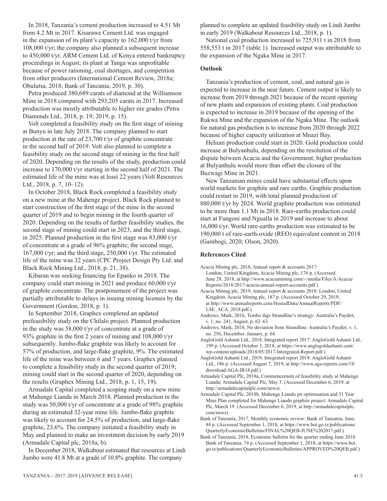In 2018, Tanzania's cement production increased to 4.51 Mt from 4.2 Mt in 2017. Kisarawe Cement Ltd. was engaged in the expansion of its plant's capacity to 162,000 t/yr from 108,000 t/yr; the company also planned a subsequent increase to 450,000 t/yr. ARM Cement Ltd. of Kenya entered bankruptcy proceedings in August; its plant at Tanga was unprofitable because of power rationing, coal shortages, and competition from other producers (International Cement Review, 2018a; Obulutsa, 2018; Bank of Tanzania, 2019, p. 30).

Petra produced 380,689 carats of diamond at the Williamson Mine in 2018 compared with 293,205 carats in 2017. Increased production was mostly attributable to higher ore grades (Petra Diamonds Ltd., 2018, p. 19; 2019, p. 15).

Volt completed a feasibility study on the first stage of mining at Bunyu in late July 2018. The company planned to start production at the rate of 23,700 t/yr of graphite concentrate in the second half of 2019. Volt also planned to complete a feasibility study on the second stage of mining in the first half of 2020. Depending on the results of the study, production could increase to 170,000 t/yr starting in the second half of 2021. The estimated life of the mine was at least 22 years (Volt Resources Ltd., 2018, p. 7, 10–12).

In October 2018, Black Rock completed a feasibility study on a new mine at the Mahenge project. Black Rock planned to start construction of the first stage of the mine in the second quarter of 2019 and to begin mining in the fourth quarter of 2020. Depending on the results of further feasibility studies, the second stage of mining could start in 2023, and the third stage, in 2025. Planned production in the first stage was 83,000 t/yr of concentrate at a grade of 96% graphite; the second stage, 167,000 t/yr; and the third stage, 250,000 t/yr. The estimated life of the mine was 32 years (CPC Project Design Pty Ltd. and Black Rock Mining Ltd., 2018, p. 21, 38).

Kibaran was seeking financing for Epanko in 2018. The company could start mining in 2021 and produce 60,000 t/yr of graphite concentrate. The postponement of the project was partially attributable to delays in issuing mining licenses by the Government (Gordon, 2018, p. 1).

In September 2018, Graphex completed an updated prefeasibility study on the Chilalo project. Planned production in the study was 58,000 t/yr of concentrate at a grade of 93% graphite in the first 2 years of mining and 108,000 t/yr subsequently. Jumbo-flake graphite was likely to account for 57% of production, and large-flake graphite, 9%. The estimated life of the mine was between 6 and 7 years. Graphex planned to complete a feasibility study in the second quarter of 2019; mining could start in the second quarter of 2020, depending on the results (Graphex Mining Ltd., 2018, p. 1, 15, 19).

Armadale Capital completed a scoping study on a new mine at Mahenge Liandu in March 2018. Planned production in the study was 50,000 t/yr of concentrate at a grade of 98% graphite during an estimated 32-year mine life. Jumbo-flake graphite was likely to account for 24.5% of production, and large-flake graphite, 23.6%. The company initiated a feasibility study in May and planned to make an investment decision by early 2019 (Armadale Capital plc, 2018a, b).

In December 2018, Walkabout estimated that resources at Lindi Jumbo were 41.8 Mt at a grade of 10.8% graphite. The company

planned to complete an updated feasibility study on Lindi Jumbo in early 2019 (Walkabout Resources Ltd., 2018, p. 1).

National coal production increased to 725,911 t in 2018 from 558,553 t in 2017 (table 1). Increased output was attributable to the expansion of the Ngaka Mine in 2017.

#### **Outlook**

Tanzania's production of cement, coal, and natural gas is expected to increase in the near future. Cement output is likely to increase from 2019 through 2021 because of the recent opening of new plants and expansion of existing plants. Coal production is expected to increase in 2019 because of the opening of the Rukwa Mine and the expansion of the Ngaka Mine. The outlook for natural gas production is to increase from 2020 through 2022 because of higher capacity utilization at Mnazi Bay.

Helium production could start in 2020. Gold production could increase at Bulyanhulu, depending on the resolution of the dispute between Acacia and the Government; higher production at Bulyanhulu would more than offset the closure of the Buzwagi Mine in 2021.

New Tanzanian mines could have substantial effects upon world markets for graphite and rare earths. Graphite production could restart in 2019, with total planned production of 880,000 t/yr by 2024. World graphite production was estimated to be more than 1.1 Mt in 2018. Rare-earths production could start at Fungoni and Ngualla in 2019 and increase to about 16,000 t/yr. World rare-earths production was estimated to be 190,000 t of rare-earth-oxide (REO) equivalent content in 2018 (Gambogi, 2020; Olson, 2020).

#### **References Cited**

Acacia Mining plc, 2018, Annual report & accounts 2017:

London, United Kingdom, Acacia Mining plc, 176 p. (Accessed June 28, 2018, at http://www.acaciamining.com/~/media/Files/A/Acacia/ Reports/2018/2017-acacia-annual-report-accounts.pdf.)

Acacia Mining plc, 2019, Annual report & accounts 2018: London, United Kingdom, Acacia Mining plc, 187 p. (Accessed October 29, 2019, at http://www.annualreports.com/HostedData/AnnualReports/PDF/ LSE\_ACA\_2018.pdf.)

- Andrews, Mark, 2016, Tembo digs Strandline's strategy: Australia's Paydirt, v. 1, no. 241, August, p. 62–63.
- Andrews, Mark, 2018, No deviation from Strandline: Australia's Paydirt, v. 1, no. 256, December–January, p. 64.
- AngloGold Ashanti Ltd., 2018, Integrated report 2017: AngloGold Ashanti Ltd., 199 p. (Accessed October 3, 2018, at https://www.anglogoldashanti.com/ wp-content/uploads/2018/05/2017-Intergrated-Report.pdf.)

AngloGold Ashanti Ltd., 2019, Integrated report 2018: AngloGold Ashanti Ltd., 186 p. (Accessed August 7, 2019, at http://www.aga-reports.com/18/ download/AGA-IR18.pdf.)

- Armadale Capital Plc, 2018a, Commencement of feasibility study at Mahenge Liandu: Armadale Capital Plc, May 3. (Accessed December 6, 2019, at http://armadalecapitalplc.com/news).
- Armadale Capital Plc, 2018b, Mahenge Liandu pit optimisation and 31 Year Mine Plan completed for Mahenge Liandu graphite project: Armadale Capital Plc, March 19. (Accessed December 6, 2019, at http://armadalecapitalplc. com/news).
- Bank of Tanzania, 2017, Monthly economic review: Bank of Tanzania, June, 84 p. (Accessed September 1, 2018, at https://www.bot.go.tz/publications/ QuarterlyEconomicBulletins/FINAL%20QEB-JUNE%202017.pdf.)
- Bank of Tanzania, 2018, Economic bulletin for the quarter ending June 2018: Bank of Tanzania, 74 p. (Accessed September 1, 2018, at https://www.bot. go.tz/publications/QuarterlyEconomicBulletins/APPROVED%20QEB.pdf.)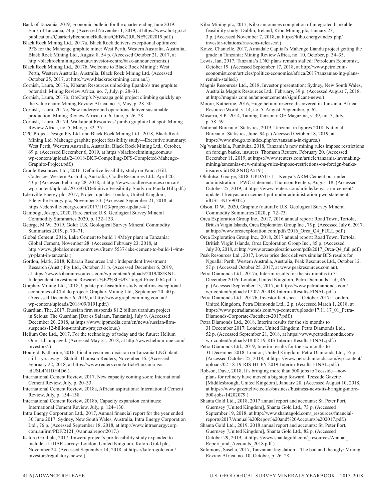Bank of Tanzania, 2019, Economic bulletin for the quarter ending June 2019: Bank of Tanzania, 74 p. (Accessed November 1, 2019, at https://www.bot.go.tz/ publications/QuarterlyEconomicBulletins/QEB%20JUNE%202019.pdf.)

Black Rock Mining Ltd., 2017a, Black Rock delivers exceptional optimized PFS for the Mahenge graphite mine: West Perth, Western Australia, Australia, Black Rock Mining Ltd., August 8, 54 p. (Accessed October 21, 2017, at http://blackrockmining.com.au/investor-centre/#asx-announcements.)

Black Rock Mining Ltd., 2017b, Welcome to Black Rock Mining!: West Perth, Western Australia, Australia, Black Rock Mining Ltd. (Accessed October 25, 2017, at http://www.blackrockmining.com.au/.)

Cornish, Laura, 2017a, Kibaran Resources unlocking Epanko's true graphite potential: Mining Review Africa, no. 7, July, p. 28–31.

Cornish, Laura, 2017b, OreCorp's Nyanzaga gold project climbing quickly up the value chain: Mining Review Africa, no. 5, May, p. 28–30.

Cornish, Laura, 2017c, New underground operations deliver sustainable production: Mining Review Africa, no. 6, June, p. 26–28.

Cornish, Laura, 2017d, Walkabout Resources' jumbo graphite hot spot: Mining Review Africa, no. 5, May, p. 32–35.

CPC Project Design Pty Ltd. and Black Rock Mining Ltd., 2018, Black Rock Mining Ltd. Mahenge graphite project feasibility study—Executive summary: West Perth, Western Australia, Australia, Black Rock Mining Ltd., October, 69 p. (Accessed December 6, 2019, at https://blackrockmining.com.au/ wp-content/uploads/241018-BKT-Compelling-DFS-Completed-Mahenge-Graphite-Project.pdf.)

Cradle Resources Ltd., 2016, Definitive feasibility study on Panda Hill: Cottesloe, Western Australia, Australia, Cradle Resources Ltd., April 20, 43 p. (Accessed February 28, 2018, at http://www.cradleresources.com.au/ wp-content/uploads/2016/04/Definitive-Feasibility-Study-on-Panda-Hill.pdf.)

Edenville Energy plc, 2017, Project update: London, United Kingdom, Edenville Energy plc, November 23. (Accessed September 21, 2018, at https://edenville-energy.com/2017/11/23/project-update-4/.)

Gambogi, Joseph, 2020, Rare earths: U.S. Geological Survey Mineral Commodity Summaries 2020, p. 132–133.

George, M.W., 2019, Gold: U.S. Geological Survey Mineral Commodity Summaries 2019, p. 70–71.

Global Cement, 2016, Lake Cement to build 1.4Mt/yr plant in Tanzania: Global Cement, November 28. (Accessed February 23, 2018, at http://www.globalcement.com/news/item/ 5537-lake-cement-to-build-1-4mtyr-plant-in-tanzania.)

Gordon, Mark, 2018, Kibaran Resources Ltd.: Independent Investment Research (Aust.) Pty Ltd., October, 31 p. (Accessed December 6, 2019, at https://www.kibaranresources.com/wp-content/uploads/2019/08/KNL-Independent-Investment-Research-%E2%80%93-Target-Price-0.64.pdf.)

Graphex Mining Ltd., 2018, Update pre-feasibility study confirms exceptional economics of Chilalo project: Graphex Mining Ltd., September 20, 40 p. (Accessed December 6, 2019, at http://www.graphexmining.com.au/ wp-content/uploads/2018/09/0191.pdf.)

Guardian, The, 2017, Russian firm suspends \$1.2 billion uranium project in Selous: The Guardian [Dar es Salaam, Tanzania], July 9. (Accessed December 20, 2018, at https://www.ippmedia.com/en/news/russian-firmsuspends-12-billion-uranium-project-selous.)

Helium One Ltd., 2017, For the technology of today and the future: Helium One Ltd., unpaged. (Accessed May 21, 2018, at http://www.helium-one.com/ investors/.)

Houreld, Katharine, 2016, Final investment decision on Tanzania LNG plant still 5 yrs away—Statoil: Thomson Reuters, November 16. (Accessed February 22, 2018, at https://www.reuters.com/article/tanzania-gasidUSL4N1DH4D6.)

International Cement Review, 2017, New capacity coming soon: International Cement Review, July, p. 20–33.

International Cement Review, 2018a, African aspirations: International Cement Review, July, p. 154–158.

International Cement Review, 2018b, Capacity expansion continues: International Cement Review, July, p. 124–130.

Intra Energy Corporation Ltd., 2017, Annual financial report for the year ended 30 June 2017: Sydney, New South Wales, Australia, Intra Energy Corporation Ltd., 76 p. (Accessed September 18, 2018, at http://www.intraenergycorp. com.au/irm/PDF/2121\_0/annualreport2017.)

Katoro Gold plc, 2017, Imweru project's pre-feasibility study expanded to include a LiDAR survey: London, United Kingdom, Katoro Gold plc, November 24. (Accessed September 14, 2018, at https://katorogold.com/ investors/regulatory-news/.)

Kibo Mining plc, 2017, Kibo announces completion of integrated bankable feasibility study: Dublin, Ireland, Kibo Mining plc, January 23, 3 p. (Accessed November 7, 2018, at https://kibo.energy/index.php/ investor-relations/rns-sens-releases/.)

Kotze, Chantelle, 2017, Armadale Capital's Mahenge Liandu project getting the grade in Tanzania: Mining Review Africa, no. 10, October, p. 34–35.

Lewis, Ian, 2017, Tanzania's LNG plans remain stalled: Petroleum Economist, October 19. (Accessed September 17, 2018, at http://www.petroleumeconomist.com/articles/politics-economics/africa/2017/tanzanias-lng-plansremain-stalled.)

Magnis Resources Ltd., 2018, Investor presentation: Sydney, New South Wales, Australia,Magnis Resources Ltd., February, 39 p. (Accessed August 7, 2018, at http://magnis.com.au/announcements/significant-news.)

Moore, Katherine, 2016, Huge helium reserve discovered in Tanzania, Africa: Resource World, v. 14, no. 5, August–September, p. 62.

Musarra, S.P., 2014, Taming Tanzania: OE Magazine, v. 39, no. 7, July, p. 58–59.

National Bureau of Statistics, 2019, Tanzania in figures 2018: National Bureau of Statistics, June, 94 p. (Accessed October 18, 2019, at https://www.nbs.go.tz/index.php/en/tanzania-in-figures.)

Ng'wanakilala, Fumbuka, 2018, Tanzania's new mining rules impose restrictions on foreign banks, insurers: Thomson Reuters, February 20. (Accessed December 11, 2019, at https://www.reuters.com/article/tanzania-lawmakingmining/tanzanias-new-mining-rules-impose-restrictions-on-foreign-banksinsurers-idUSL8N1QA519.)

Obulutsa, George, 2018, UPDATE 1**—**Kenya's ARM Cement put under administration**—**PWC statement: Thomson Reuters, August 18. (Accessed October 25, 2019, at https://www.reuters.com/article/kenya-arm-cement/ update-1-kenyas-arm-cement-put-under-administration-pwc-statementidUSL5N1V9042.)

Olson, D.W., 2020, Graphite (natural): U.S. Geological Survey Mineral Commodity Summaries 2020, p. 72–73.

Orca Exploration Group Inc., 2017, 2016 annual report: Road Town, Tortola, British Virgin Islands, Orca Exploration Group Inc., 75 p. (Accessed July 6, 2017, at http://www.orcaexploration.com/pdfs/2016\_Orca\_Q4\_FULL.pdf.)

Orca Exploration Group Inc., 2018, 2017 annual report: Road Town, Tortola, British Virgin Islands, Orca Exploration Group Inc., 85 p. (Accessed July 30, 2018, at http://www.orcaexploration.com/pdfs/2017\_Orca-Q4\_full.pdf.)

Peak Resources Ltd., 2017, Lower price deck delivers similar BFS results for Ngualla: Perth, Western Australia, Australia, Peak Resources Ltd., October 12, 57 p. (Accessed October 25, 2017, at www.peakresources.com.au).

Petra Diamonds Ltd., 2017a, Interim results for the six months to 31 December 2016: London, United Kingdom, Petra Diamonds Ltd., 46 p. (Accessed September 13, 2017, at https://www.petradiamonds.com/ wp-content/uploads/17-02-20-RIS-Interim-Results-FINAL.pdf.)

Petra Diamonds Ltd., 2017b, Investor fact sheet—October 2017: London, United Kingdom, Petra Diamonds Ltd., 2 p. (Accessed March 1, 2018, at https://www.petradiamonds.com/wp-content/uploads/17.11.17\_01\_Petra-Diamonds-Corporate-Factsheet-2017.pdf.)

Petra Diamonds Ltd., 2018, Interim results for the six months to 31 December 2017: London, United Kingdom, Petra Diamonds Ltd., 52 p. (Accessed September 21, 2018, at https://www.petradiamonds.com/ wp-content/uploads/18-02-19-RIS-Interim-Results-FINAL.pdf.)

Petra Diamonds Ltd., 2019, Interim results for the six months to 31 December 2018: London, United Kingdom, Petra Diamonds Ltd., 55 p. (Accessed October 25, 2018, at https://www.petradiamonds.com/wp-content/ uploads/02-18-19-RIS-H1-FY-2019-Interim-Results-FINAL.pdf.)

Robson, Dave, 2018, It's bringing more than 500 jobs to Teesside—now plans for refinery have moved a big step forward: Teesside Gazette [Middlesbrough, United Kingdom], January 28. (Accessed August 10, 2018, at https://www.gazettelive.co.uk/business/business-news/its-bringing-more-500-jobs-14202079.)

Shanta Gold Ltd., 2018, 2017 annual report and accounts: St. Peter Port, Guernsey [United Kingdom], Shanta Gold Ltd., 73 p. (Accessed September 19, 2018, at http://www.shantagold.com/\_resources/financialreports/2017/Annual%20Report%20and%20Accounts%202017.pdf.)

Shanta Gold Ltd., 2019, 2018 annual report and accounts: St. Peter Port, Guernsey [United Kingdom], Shanta Gold Ltd., 82 p. (Accessed October 29, 2019, at https://www.shantagold.com/\_resources/Annual\_ Report and Accounts 2018.pdf.)

Solomons, Sascha, 2017, Tanzanian legislation—The bad and the ugly: Mining Review Africa, no. 10, October, p. 26–28.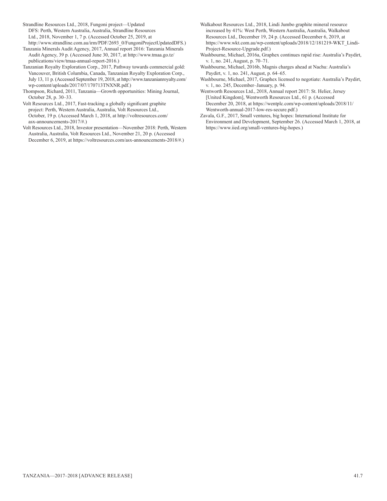Strandline Resources Ltd., 2018, Fungoni project—Updated DFS: Perth, Western Australia, Australia, Strandline Resources Ltd., 2018, November 1, 7 p. (Accessed October 25, 2019, at http://www.strandline.com.au/irm/PDF/2693\_0/FungoniProjectUpdatedDFS.)

Tanzania Minerals Audit Agency, 2017, Annual report 2016: Tanzania Minerals Audit Agency, 39 p. (Accessed June 30, 2017, at http://www.tmaa.go.tz/ publications/view/tmaa-annual-report-2016.)

Tanzanian Royalty Exploration Corp., 2017, Pathway towards commercial gold: Vancouver, British Columbia, Canada, Tanzanian Royalty Exploration Corp., July 13, 11 p. (Accessed September 19, 2018, at http://www.tanzanianroyalty.com/ wp-content/uploads/2017/07/170713TNXNR.pdf.)

Thompson, Richard, 2011, Tanzania—Growth opportunities: Mining Journal, October 28, p. 30–33.

Volt Resources Ltd., 2017, Fast-tracking a globally significant graphite project: Perth, Western Australia, Australia, Volt Resources Ltd., October, 19 p. (Accessed March 1, 2018, at http://voltresources.com/ asx-announcements-2017/#.)

Volt Resources Ltd., 2018, Investor presentation—November 2018: Perth, Western Australia, Australia, Volt Resources Ltd., November 21, 20 p. (Accessed December 6, 2019, at https://voltresources.com/asx-announcements-2018/#.)

- Walkabout Resources Ltd., 2018, Lindi Jumbo graphite mineral resource increased by 41%: West Perth, Western Australia, Australia, Walkabout Resources Ltd., December 19, 24 p. (Accessed December 6, 2019, at https://www.wkt.com.au/wp-content/uploads/2018/12/181219-WKT\_Lindi-Project-Resource-Upgrade.pdf.)
- Washbourne, Michael, 2016a, Graphex continues rapid rise: Australia's Paydirt, v. 1, no. 241, August, p. 70–71.
- Washbourne, Michael, 2016b, Magnis charges ahead at Nachu: Australia's Paydirt, v. 1, no. 241, August, p. 64–65.
- Washbourne, Michael, 2017, Graphex licensed to negotiate: Australia's Paydirt, v. 1, no. 245, December–January, p. 94.

Wentworth Resources Ltd., 2018, Annual report 2017: St. Helier, Jersey [United Kingdom], Wentworth Resources Ltd., 61 p. (Accessed December 20, 2018, at https://wentplc.com/wp-content/uploads/2018/11/ Wentworth-annual-2017-low-res-secure.pdf.)

Zavala, G.F., 2017, Small ventures, big hopes: International Institute for Environment and Development, September 26. (Accessed March 1, 2018, at https://www.iied.org/small-ventures-big-hopes.)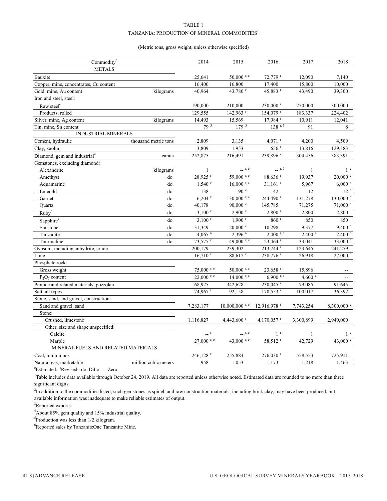#### TABLE 1 TANZANIA: PRODUCTION OF MINERAL COMMODITIES $^{\rm l}$

#### (Metric tons, gross weight, unless otherwise specified)

| Commodity <sup>2</sup>                   |                      | 2014                  | 2015                     | 2016                      | 2017             | 2018                  |
|------------------------------------------|----------------------|-----------------------|--------------------------|---------------------------|------------------|-----------------------|
| <b>METALS</b>                            |                      |                       |                          |                           |                  |                       |
| Bauxite                                  |                      | 25,641                | $50,000$ r, e            | $72,779$ $r$              | 12,090           | 7,140                 |
| Copper, mine, concentrates, Cu content   |                      | 16,400                | 16,800                   | 17,400                    | 15,800           | 10,000                |
| Gold, mine, Au content                   | kilograms            | 40,964                | 43,780 r                 | 45,883 r                  | 43,490           | 39,300                |
| Iron and steel, steel:                   |                      |                       |                          |                           |                  |                       |
| Raw steel <sup>e</sup>                   |                      | 190,000               | 210,000                  | $230,000$ <sup>r</sup>    | 250,000          | 300,000               |
| Products, rolled                         |                      | 129,555               | 142,963 <sup>r</sup>     | $154,079$ <sup>r</sup>    | 183,337          | 224,402               |
| Silver, mine, Ag content                 | kilograms            | 14,493                | 15,569                   | 17,984 <sup>r</sup>       | 10,911           | 12,041                |
| Tin, mine, Sn content                    |                      | 79 3                  | $179^{3}$                | $138$ r, 3                | 91               | 8                     |
| INDUSTRIAL MINERALS                      |                      |                       |                          |                           |                  |                       |
| Cement, hydraulic                        | thousand metric tons | 2,809                 | 3,135                    | $4,071$ <sup>r</sup>      | 4,200            | 4,509                 |
| Clay, kaolin                             |                      | 3,809                 | 1,953                    | $656$ r                   | 13,816           | 129,383               |
| Diamond, gem and industrial <sup>4</sup> | carats               | 252,875               | 216,491                  | 239,896 r                 | 304,456          | 383,391               |
| Gemstones, excluding diamond:            |                      |                       |                          |                           |                  |                       |
| Alexandrite                              | kilograms            | 1                     | $\overline{r}$ , e       | 1, 5                      | 1                | 1 <sup>e</sup>        |
| Amethyst                                 | do.                  | 28,925 r              | 59,000 $\frac{1}{r}$ , e | $88,636$ <sup>r</sup>     | 19,937           | $20{,}000$ $^{\circ}$ |
| Aquamarine                               | do.                  | $1,540$ <sup>r</sup>  | $16,000$ r, e            | $31,161$ <sup>r</sup>     | 5,967            | 6,000 °               |
| Emerald                                  | do.                  | 138                   | 90e                      | 42                        | 12               | 12 <sup>e</sup>       |
| Garnet                                   | do.                  | $6,204$ <sup>r</sup>  | $130,000$ r, e           | 244,490 <sup>r</sup>      | 131,278          | 130,000 e             |
| Quartz                                   | do.                  | 40,178                | $90,000$ e               | 145,785                   | 71,275           | $71,000$ $^{\circ}$   |
| $Ruby^e$                                 | do.                  | $3,100$ <sup>r</sup>  | $2,900$ <sup>r</sup>     | $2,800$ <sup>r</sup>      | 2,800            | 2,800                 |
| Sapphire <sup>e</sup>                    | do.                  | $3,100$ <sup>r</sup>  | $1,900$ <sup>r</sup>     | $860$ $^{\rm r}$          | 850              | 850                   |
| Sunstone                                 | do.                  | 31,349                | $20,000$ $\degree$       | 10,298                    | 9,377            | 9,400 °               |
| Tanzanite                                | do.                  | 4,065 $6$             | 2,396 6                  | $2,400$ r, e              | 2,400 °          | 2,400 °               |
| Tourmaline                               | do.                  | 73,575 <sup>r</sup>   | 49,000 r, e              | 23,464 r                  | 33,041           | 33,000 $^{\circ}$     |
| Gypsum, including anhydrite, crude       |                      | 200,179               | 239,302                  | 213,744 r                 | 123,645          | 241,259               |
| Lime                                     |                      | $16,710$ <sup>r</sup> | 88,617 r                 | 238,776 r                 | 26,918           | 27,000 e              |
| Phosphate rock:                          |                      |                       |                          |                           |                  |                       |
| Gross weight                             |                      | $75,000$ r, e         | $50,000$ r, e            | $23,658$ <sup>r</sup>     | 15,896           |                       |
| $P_2O_5$ content                         |                      | $22,000$ r, e         | $14,000$ r, e            | $6,900$ r, e              | 4,600 $^{\circ}$ |                       |
| Pumice and related materials, pozzolan   |                      | 68,925                | 342,628                  | 230,045 <sup>r</sup>      | 79,085           | 91,645                |
| Salt, all types                          |                      | 74,967 <sup>r</sup>   | 92,158                   | 170,553 r                 | 100,017          | 36,392                |
| Stone, sand, and gravel, construction:   |                      |                       |                          |                           |                  |                       |
| Sand and gravel, sand                    |                      | 7,283,177             | $10,000,000$ r, e        | $12,916,978$ <sup>r</sup> | 7,743,254        | $8,300,000$ e         |
| Stone:                                   |                      |                       |                          |                           |                  |                       |
| Crushed, limestone                       |                      | 1,116,827             | 4,443,600 r              | 4,170,057 $r$             | 3,300,899        | 2,940,000             |
| Other, size and shape unspecified:       |                      |                       |                          |                           |                  |                       |
| Calcite                                  |                      | $-$ <sup>r</sup>      | $\qquad \qquad$ r, e     | 1 <sup>r</sup>            | 1                | 1 <sup>e</sup>        |
| Marble                                   |                      | $27,000$ r, e         | 43,000 r, e              | 58,512 <sup>r</sup>       | 42,729           | 43,000 $^{\circ}$     |
| MINERAL FUELS AND RELATED MATERIALS      |                      |                       |                          |                           |                  |                       |
| Coal, bituminous                         |                      | 246,128 <sup>r</sup>  | 255,884                  | 276,030 r                 | 558,553          | 725,911               |
| Natural gas, marketable                  | million cubic meters | 958                   | 1,053                    | 1,173                     | 1,218            | 1,463                 |

<sup>e</sup>Estimated. <sup>r</sup>Revised. do. Ditto. -- Zero.

<sup>1</sup>Table includes data available through October 24, 2019. All data are reported unless otherwise noted. Estimated data are rounded to no more than three significant digits.

<sup>2</sup>In addition to the commodities listed, such gemstones as spinel, and raw construction materials, including brick clay, may have been produced, but available information was inadequate to make reliable estimates of output.

<sup>3</sup>Reported exports.

4 About 85% gem quality and 15% industrial quality.

<sup>5</sup>Production was less than 1/2 kilogram.

6 Reported sales by TanzaniteOne Tanzanite Mine.